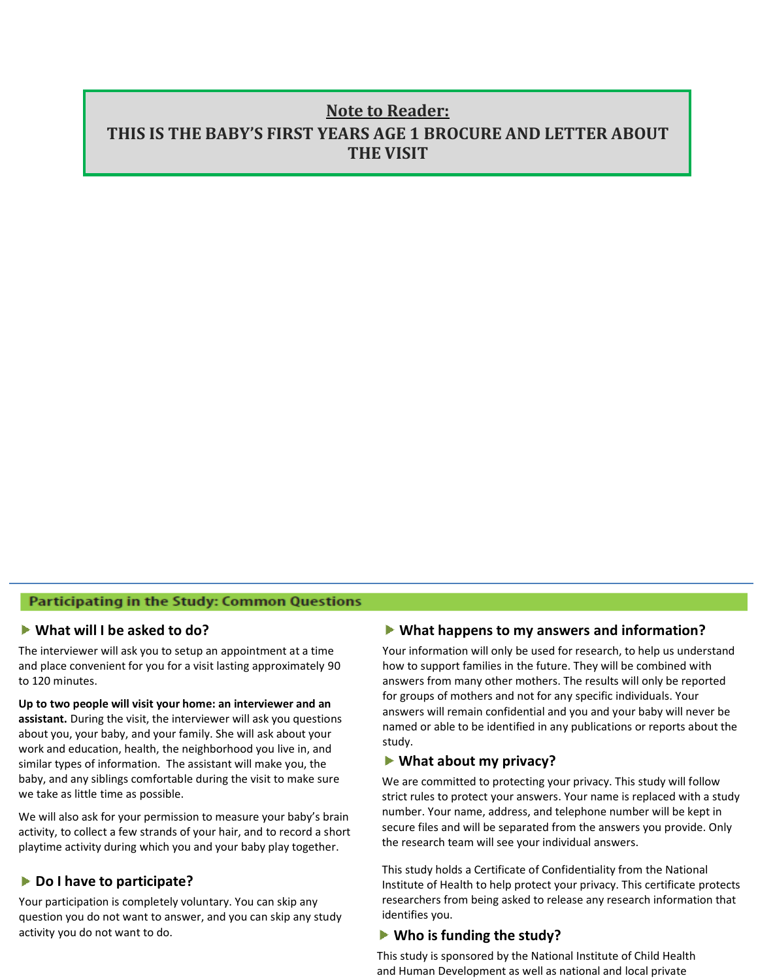# **Note to Reader: THIS IS THE BABY'S FIRST YEARS AGE 1 BROCURE AND LETTER ABOUT THE VISIT**

## **Participating in the Study: Common Questions**

#### **What will I be asked to do?**

The interviewer will ask you to setup an appointment at a time and place convenient for you for a visit lasting approximately 90 to 120 minutes.

**A studies about the family study and vour family showill ask you questions** work and education, health, the neighborhood you live in, anc<br>similar types of information. The assistant will make you, the **important first few years**  we take as little time as possible. **Up to two people will visit your home: an interviewer and an**  about you, your baby, and your family. She will ask about your work and education, health, the neighborhood you live in, and baby, and any siblings comfortable during the visit to make sure

We will also ask for your permission to measure your baby's brain<br>activity, to collect a few strands of your hair, and to record a short We will also ask for your permission to measure your baby's brain playtime activity during which you and your baby play together.

# ▶ Do I have to participate?

Your participation is completely voluntary. You can skip any question you do not want to answer, and you can skip any study activity you do not want to do.

### **What happens to my answers and information?**

Your information will only be used for research, to help us understand how to support families in the future. They will be combined with answers from many other mothers. The results will only be reported for groups of mothers and not for any specific individuals. Your answers will remain confidential and you and your baby will never be named or able to be identified in any publications or reports about the study.

#### **What about my privacy?**

We are committed to protecting your privacy. This study will follow strict rules to protect your answers. Your name is replaced with a study number. Your name, address, and telephone number will be kept in secure files and will be separated from the answers you provide. Only the research team will see your individual answers.

This study holds a Certificate of Confidentiality from the National Institute of Health to help protect your privacy. This certificate protects researchers from being asked to release any research information that identifies you.

#### **Who is funding the study?**

This study is sponsored by the National Institute of Child Health and Human Development as well as national and local private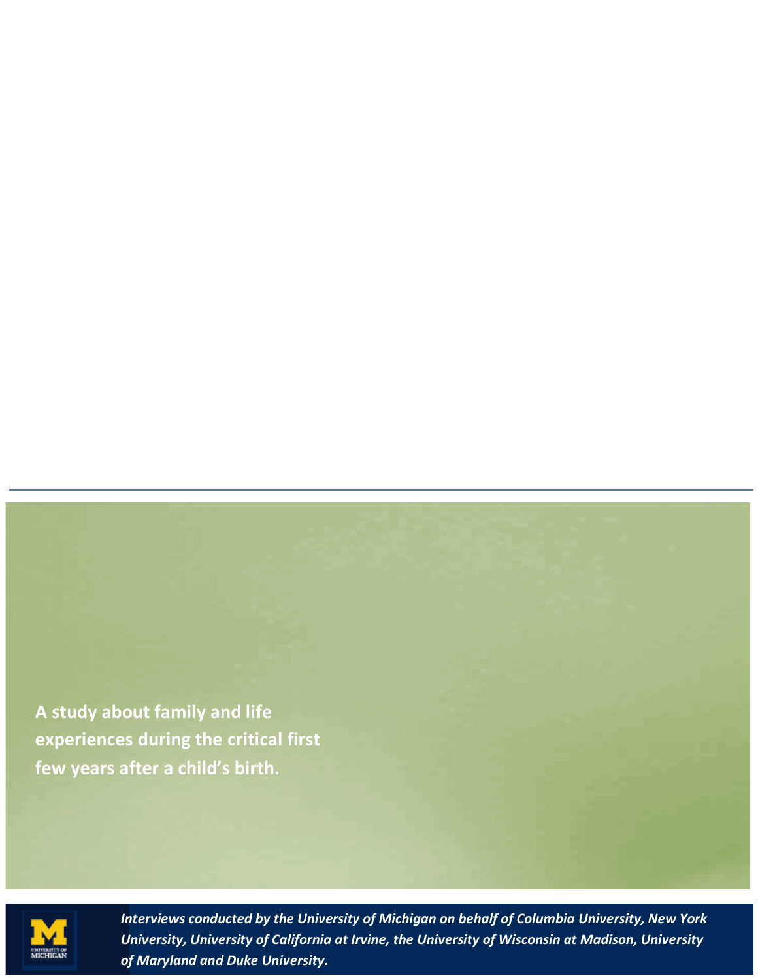**A study about family and life experiences during the critical first few years after a child's birth.**



*Interviews conducted by the University of Michigan on behalf of Columbia University, New York University, University of California at Irvine, the University of Wisconsin at Madison, University of Maryland and Duke University.*